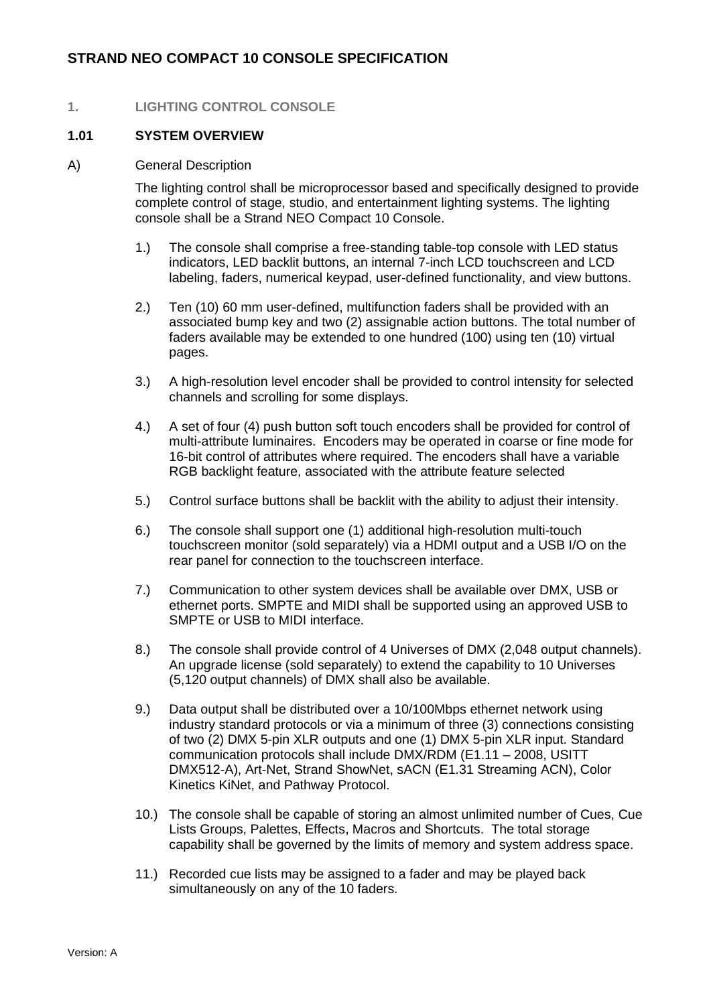#### **1. LIGHTING CONTROL CONSOLE**

#### **1.01 SYSTEM OVERVIEW**

#### A) General Description

The lighting control shall be microprocessor based and specifically designed to provide complete control of stage, studio, and entertainment lighting systems. The lighting console shall be a Strand NEO Compact 10 Console.

- 1.) The console shall comprise a free-standing table-top console with LED status indicators, LED backlit buttons, an internal 7-inch LCD touchscreen and LCD labeling, faders, numerical keypad, user-defined functionality, and view buttons.
- 2.) Ten (10) 60 mm user-defined, multifunction faders shall be provided with an associated bump key and two (2) assignable action buttons. The total number of faders available may be extended to one hundred (100) using ten (10) virtual pages.
- 3.) A high-resolution level encoder shall be provided to control intensity for selected channels and scrolling for some displays.
- 4.) A set of four (4) push button soft touch encoders shall be provided for control of multi-attribute luminaires. Encoders may be operated in coarse or fine mode for 16-bit control of attributes where required. The encoders shall have a variable RGB backlight feature, associated with the attribute feature selected
- 5.) Control surface buttons shall be backlit with the ability to adjust their intensity.
- 6.) The console shall support one (1) additional high-resolution multi-touch touchscreen monitor (sold separately) via a HDMI output and a USB I/O on the rear panel for connection to the touchscreen interface.
- 7.) Communication to other system devices shall be available over DMX, USB or ethernet ports. SMPTE and MIDI shall be supported using an approved USB to SMPTE or USB to MIDI interface.
- 8.) The console shall provide control of 4 Universes of DMX (2,048 output channels). An upgrade license (sold separately) to extend the capability to 10 Universes (5,120 output channels) of DMX shall also be available.
- 9.) Data output shall be distributed over a 10/100Mbps ethernet network using industry standard protocols or via a minimum of three (3) connections consisting of two (2) DMX 5-pin XLR outputs and one (1) DMX 5-pin XLR input. Standard communication protocols shall include DMX/RDM (E1.11 – 2008, USITT DMX512-A), Art-Net, Strand ShowNet, sACN (E1.31 Streaming ACN), Color Kinetics KiNet, and Pathway Protocol.
- 10.) The console shall be capable of storing an almost unlimited number of Cues, Cue Lists Groups, Palettes, Effects, Macros and Shortcuts. The total storage capability shall be governed by the limits of memory and system address space.
- 11.) Recorded cue lists may be assigned to a fader and may be played back simultaneously on any of the 10 faders.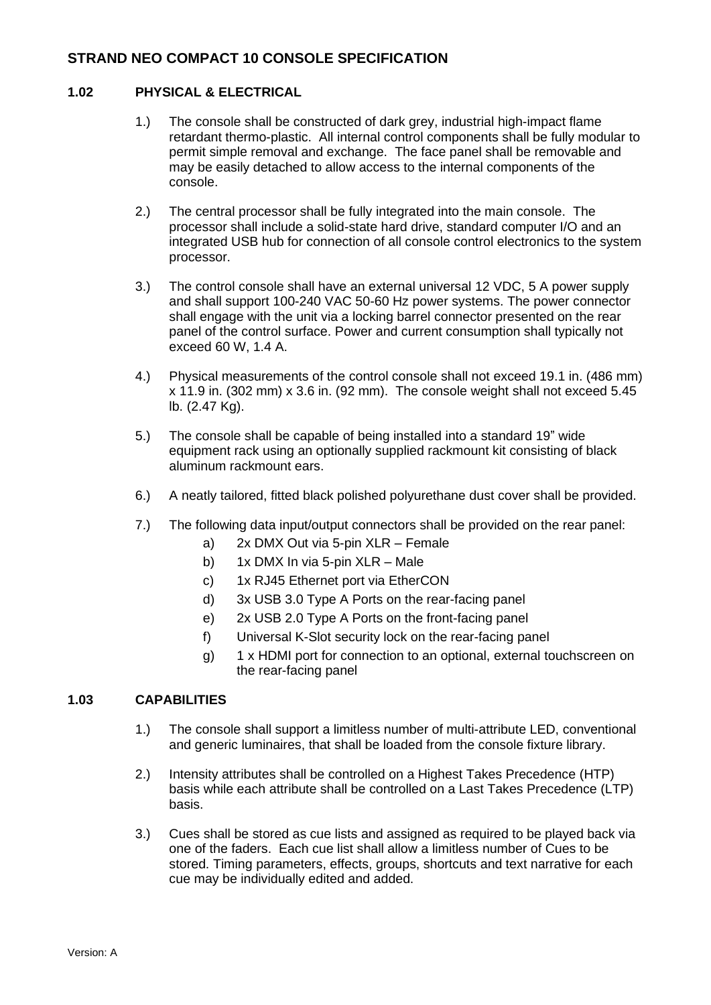### **1.02 PHYSICAL & ELECTRICAL**

- 1.) The console shall be constructed of dark grey, industrial high-impact flame retardant thermo-plastic. All internal control components shall be fully modular to permit simple removal and exchange. The face panel shall be removable and may be easily detached to allow access to the internal components of the console.
- 2.) The central processor shall be fully integrated into the main console. The processor shall include a solid-state hard drive, standard computer I/O and an integrated USB hub for connection of all console control electronics to the system processor.
- 3.) The control console shall have an external universal 12 VDC, 5 A power supply and shall support 100-240 VAC 50-60 Hz power systems. The power connector shall engage with the unit via a locking barrel connector presented on the rear panel of the control surface. Power and current consumption shall typically not exceed 60 W, 1.4 A.
- 4.) Physical measurements of the control console shall not exceed 19.1 in. (486 mm) x 11.9 in. (302 mm) x 3.6 in. (92 mm). The console weight shall not exceed 5.45 lb. (2.47 Kg).
- 5.) The console shall be capable of being installed into a standard 19" wide equipment rack using an optionally supplied rackmount kit consisting of black aluminum rackmount ears.
- 6.) A neatly tailored, fitted black polished polyurethane dust cover shall be provided.
- 7.) The following data input/output connectors shall be provided on the rear panel:
	- a) 2x DMX Out via 5-pin XLR Female
	- b) 1x DMX In via 5-pin XLR Male
	- c) 1x RJ45 Ethernet port via EtherCON
	- d) 3x USB 3.0 Type A Ports on the rear-facing panel
	- e) 2x USB 2.0 Type A Ports on the front-facing panel
	- f) Universal K-Slot security lock on the rear-facing panel
	- g) 1 x HDMI port for connection to an optional, external touchscreen on the rear-facing panel

## **1.03 CAPABILITIES**

- 1.) The console shall support a limitless number of multi-attribute LED, conventional and generic luminaires, that shall be loaded from the console fixture library.
- 2.) Intensity attributes shall be controlled on a Highest Takes Precedence (HTP) basis while each attribute shall be controlled on a Last Takes Precedence (LTP) basis.
- 3.) Cues shall be stored as cue lists and assigned as required to be played back via one of the faders. Each cue list shall allow a limitless number of Cues to be stored. Timing parameters, effects, groups, shortcuts and text narrative for each cue may be individually edited and added.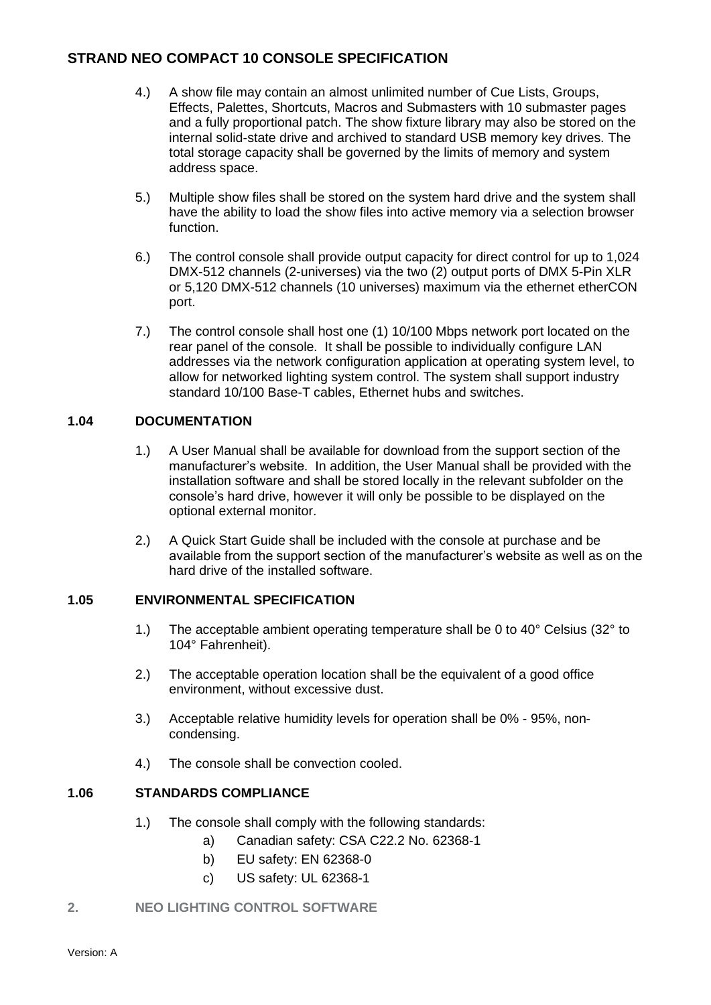- 4.) A show file may contain an almost unlimited number of Cue Lists, Groups, Effects, Palettes, Shortcuts, Macros and Submasters with 10 submaster pages and a fully proportional patch. The show fixture library may also be stored on the internal solid-state drive and archived to standard USB memory key drives. The total storage capacity shall be governed by the limits of memory and system address space.
- 5.) Multiple show files shall be stored on the system hard drive and the system shall have the ability to load the show files into active memory via a selection browser function.
- 6.) The control console shall provide output capacity for direct control for up to 1,024 DMX-512 channels (2-universes) via the two (2) output ports of DMX 5-Pin XLR or 5,120 DMX-512 channels (10 universes) maximum via the ethernet etherCON port.
- 7.) The control console shall host one (1) 10/100 Mbps network port located on the rear panel of the console. It shall be possible to individually configure LAN addresses via the network configuration application at operating system level, to allow for networked lighting system control. The system shall support industry standard 10/100 Base-T cables, Ethernet hubs and switches.

### **1.04 DOCUMENTATION**

- 1.) A User Manual shall be available for download from the support section of the manufacturer's website. In addition, the User Manual shall be provided with the installation software and shall be stored locally in the relevant subfolder on the console's hard drive, however it will only be possible to be displayed on the optional external monitor.
- 2.) A Quick Start Guide shall be included with the console at purchase and be available from the support section of the manufacturer's website as well as on the hard drive of the installed software.

#### **1.05 ENVIRONMENTAL SPECIFICATION**

- 1.) The acceptable ambient operating temperature shall be 0 to 40 $^{\circ}$  Celsius (32 $^{\circ}$  to 104° Fahrenheit).
- 2.) The acceptable operation location shall be the equivalent of a good office environment, without excessive dust.
- 3.) Acceptable relative humidity levels for operation shall be 0% 95%, noncondensing.
- 4.) The console shall be convection cooled.

### **1.06 STANDARDS COMPLIANCE**

- 1.) The console shall comply with the following standards:
	- a) Canadian safety: CSA C22.2 No. 62368-1
	- b) EU safety: EN 62368-0
	- c) US safety: UL 62368-1

#### **2. NEO LIGHTING CONTROL SOFTWARE**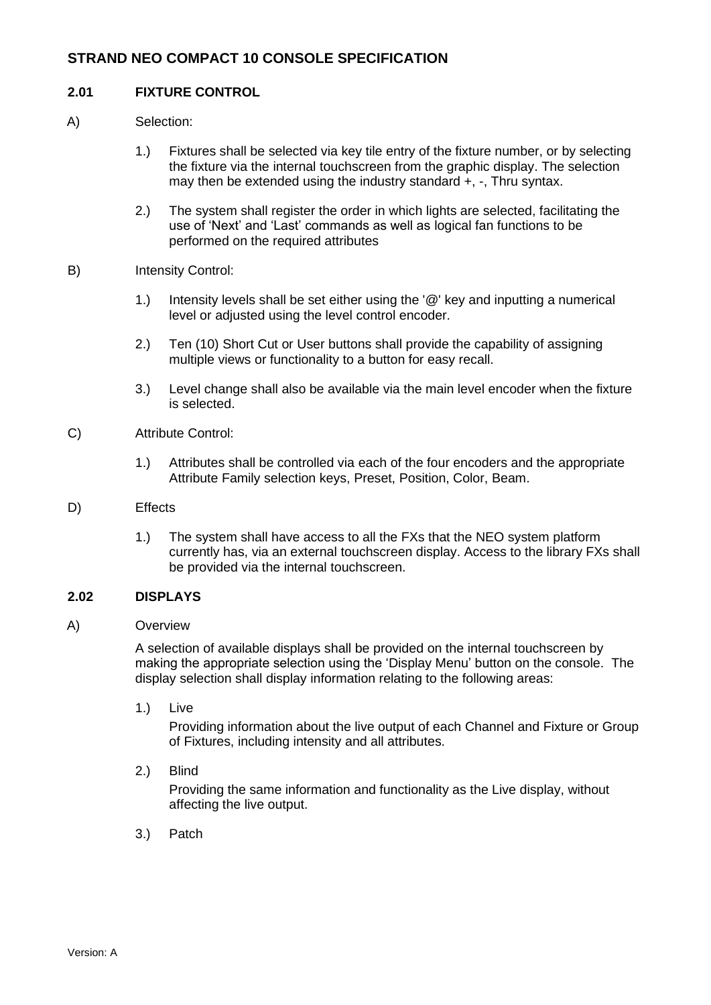### **2.01 FIXTURE CONTROL**

- A) Selection:
	- 1.) Fixtures shall be selected via key tile entry of the fixture number, or by selecting the fixture via the internal touchscreen from the graphic display. The selection may then be extended using the industry standard +, -, Thru syntax.
	- 2.) The system shall register the order in which lights are selected, facilitating the use of 'Next' and 'Last' commands as well as logical fan functions to be performed on the required attributes
- B) Intensity Control:
	- 1.) Intensity levels shall be set either using the '@' key and inputting a numerical level or adjusted using the level control encoder.
	- 2.) Ten (10) Short Cut or User buttons shall provide the capability of assigning multiple views or functionality to a button for easy recall.
	- 3.) Level change shall also be available via the main level encoder when the fixture is selected.
- C) Attribute Control:
	- 1.) Attributes shall be controlled via each of the four encoders and the appropriate Attribute Family selection keys, Preset, Position, Color, Beam.
- D) Effects
	- 1.) The system shall have access to all the FXs that the NEO system platform currently has, via an external touchscreen display. Access to the library FXs shall be provided via the internal touchscreen.

#### **2.02 DISPLAYS**

### A) Overview

A selection of available displays shall be provided on the internal touchscreen by making the appropriate selection using the 'Display Menu' button on the console. The display selection shall display information relating to the following areas:

1.) Live

Providing information about the live output of each Channel and Fixture or Group of Fixtures, including intensity and all attributes.

2.) Blind

Providing the same information and functionality as the Live display, without affecting the live output.

3.) Patch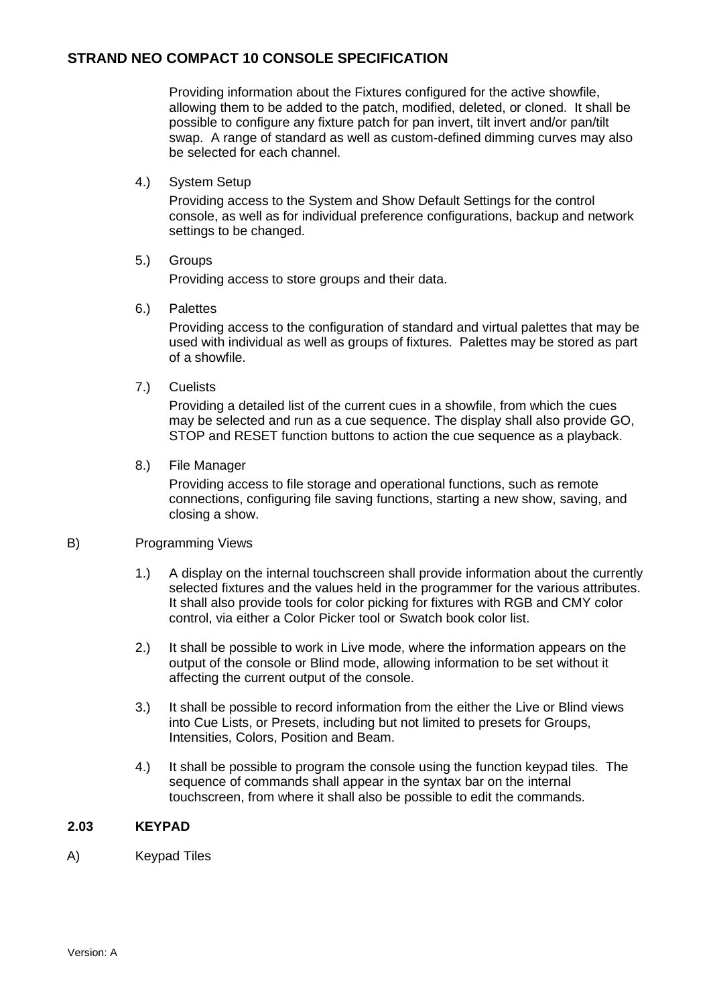Providing information about the Fixtures configured for the active showfile, allowing them to be added to the patch, modified, deleted, or cloned. It shall be possible to configure any fixture patch for pan invert, tilt invert and/or pan/tilt swap. A range of standard as well as custom-defined dimming curves may also be selected for each channel.

4.) System Setup

Providing access to the System and Show Default Settings for the control console, as well as for individual preference configurations, backup and network settings to be changed.

#### 5.) Groups

Providing access to store groups and their data.

#### 6.) Palettes

Providing access to the configuration of standard and virtual palettes that may be used with individual as well as groups of fixtures. Palettes may be stored as part of a showfile.

7.) Cuelists

Providing a detailed list of the current cues in a showfile, from which the cues may be selected and run as a cue sequence. The display shall also provide GO, STOP and RESET function buttons to action the cue sequence as a playback.

8.) File Manager

Providing access to file storage and operational functions, such as remote connections, configuring file saving functions, starting a new show, saving, and closing a show.

#### B) Programming Views

- 1.) A display on the internal touchscreen shall provide information about the currently selected fixtures and the values held in the programmer for the various attributes. It shall also provide tools for color picking for fixtures with RGB and CMY color control, via either a Color Picker tool or Swatch book color list.
- 2.) It shall be possible to work in Live mode, where the information appears on the output of the console or Blind mode, allowing information to be set without it affecting the current output of the console.
- 3.) It shall be possible to record information from the either the Live or Blind views into Cue Lists, or Presets, including but not limited to presets for Groups, Intensities, Colors, Position and Beam.
- 4.) It shall be possible to program the console using the function keypad tiles. The sequence of commands shall appear in the syntax bar on the internal touchscreen, from where it shall also be possible to edit the commands.

#### **2.03 KEYPAD**

A) Keypad Tiles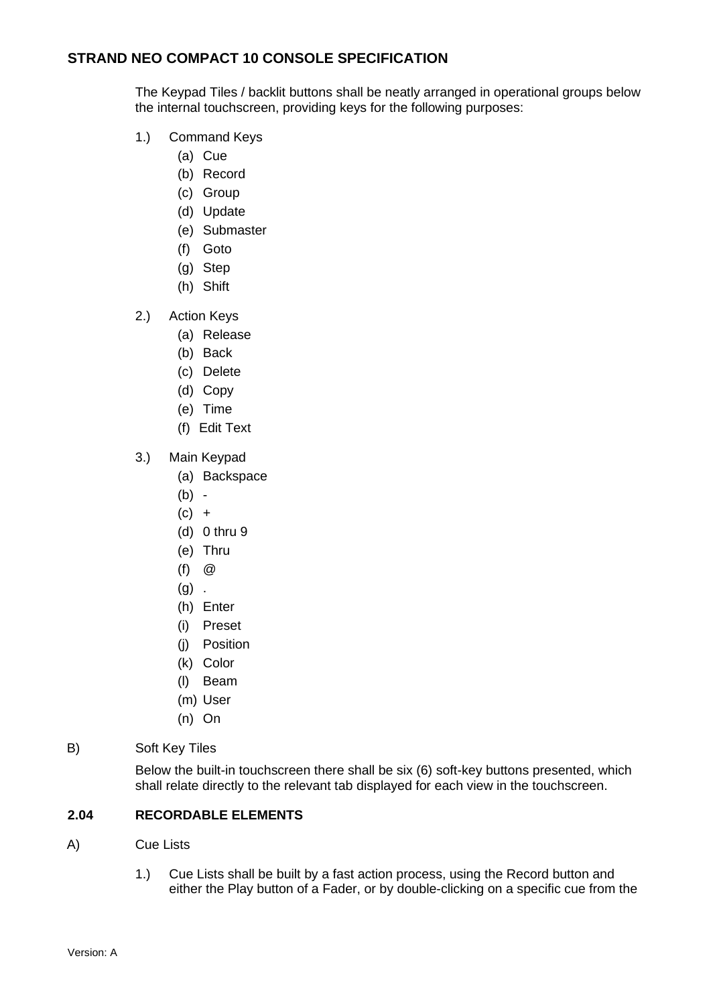The Keypad Tiles / backlit buttons shall be neatly arranged in operational groups below the internal touchscreen, providing keys for the following purposes:

- 1.) Command Keys
	- (a) Cue
	- (b) Record
	- (c) Group
	- (d) Update
	- (e) Submaster
	- (f) Goto
	- (g) Step
	- (h) Shift
- 2.) Action Keys
	- (a) Release
	- (b) Back
	- (c) Delete
	- (d) Copy
	- (e) Time
	- (f) Edit Text
- 3.) Main Keypad
	- (a) Backspace
	- (b) -
	- $(c) +$
	- (d) 0 thru 9
	- (e) Thru
	- (f) @
	- $(g)$ .
	- (h) Enter
	- (i) Preset
	- (j) Position
	- (k) Color
	- (l) Beam
	- (m) User
	- (n) On
- B) Soft Key Tiles

Below the built-in touchscreen there shall be six (6) soft-key buttons presented, which shall relate directly to the relevant tab displayed for each view in the touchscreen.

## **2.04 RECORDABLE ELEMENTS**

- A) Cue Lists
	- 1.) Cue Lists shall be built by a fast action process, using the Record button and either the Play button of a Fader, or by double-clicking on a specific cue from the